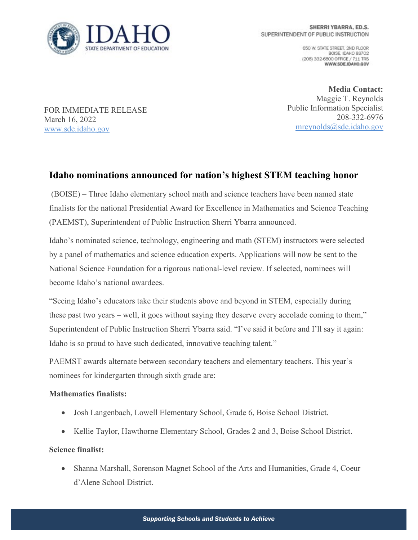

650 W. STATE STREET, 2ND FLOOR BOISE IDAHO 83702 (208) 332-6800 OFFICE / 711 TRS WWW.SDE.IDAHO.GOV

FOR IMMEDIATE RELEASE March 16, 2022 [www.sde.idaho.gov](http://www.sde.idaho.gov/)

**Media Contact:** Maggie T. Reynolds Public Information Specialist 208-332-6976 [mreynolds@sde.idaho.gov](mailto:mreynolds@sde.idaho.gov)

## **Idaho nominations announced for nation's highest STEM teaching honor**

(BOISE) – Three Idaho elementary school math and science teachers have been named state finalists for the national Presidential Award for Excellence in Mathematics and Science Teaching (PAEMST), Superintendent of Public Instruction Sherri Ybarra announced.

Idaho's nominated science, technology, engineering and math (STEM) instructors were selected by a panel of mathematics and science education experts. Applications will now be sent to the National Science Foundation for a rigorous national-level review. If selected, nominees will become Idaho's national awardees.

"Seeing Idaho's educators take their students above and beyond in STEM, especially during these past two years – well, it goes without saying they deserve every accolade coming to them," Superintendent of Public Instruction Sherri Ybarra said. "I've said it before and I'll say it again: Idaho is so proud to have such dedicated, innovative teaching talent."

PAEMST awards alternate between secondary teachers and elementary teachers. This year's nominees for kindergarten through sixth grade are:

## **Mathematics finalists:**

- Josh Langenbach, Lowell Elementary School, Grade 6, Boise School District.
- Kellie Taylor, Hawthorne Elementary School, Grades 2 and 3, Boise School District.

## **Science finalist:**

• Shanna Marshall, Sorenson Magnet School of the Arts and Humanities, Grade 4, Coeur d'Alene School District.